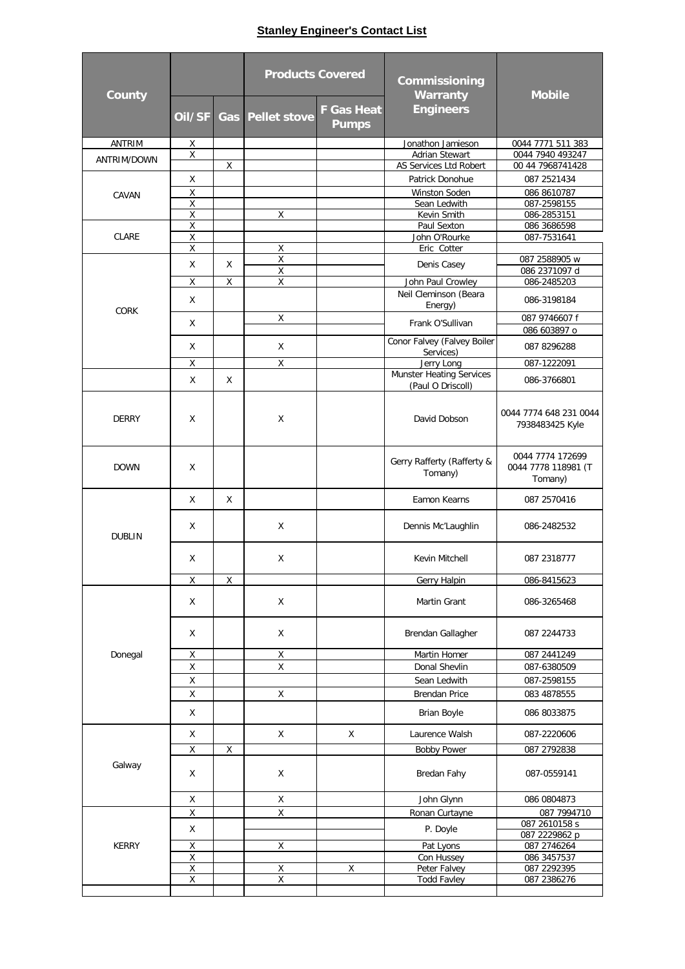## **Stanley Engineer's Contact List**

| <b>County</b>          |                         |             | <b>Products Covered</b> |                                   | Commissioning<br><b>Warranty</b>                     | <b>Mobile</b>                                      |
|------------------------|-------------------------|-------------|-------------------------|-----------------------------------|------------------------------------------------------|----------------------------------------------------|
|                        | Oil/SF                  |             | <b>Gas</b> Pellet stove | <b>F Gas Heat</b><br><b>Pumps</b> | <b>Engineers</b>                                     |                                                    |
| <b>ANTRIM</b>          | Χ                       |             |                         |                                   | Jonathon Jamieson                                    | 0044 7771 511 383                                  |
| ANTRIM/DOWN            | $\sf X$                 | Χ           |                         |                                   | Adrian Stewart<br>AS Services Ltd Robert             | 0044 7940 493247                                   |
|                        | Χ                       |             |                         |                                   | Patrick Donohue                                      | 00 44 7968741428<br>087 2521434                    |
|                        | Χ                       |             |                         |                                   |                                                      |                                                    |
| CAVAN                  | Χ                       |             |                         |                                   | Winston Soden<br>Sean Ledwith                        | 086 8610787<br>087-2598155                         |
|                        | $\sf X$                 |             | Χ                       |                                   | Kevin Smith                                          | 086-2853151                                        |
| <b>CLARE</b>           | Χ                       |             |                         |                                   | Paul Sexton                                          | 086 3686598                                        |
|                        | X                       |             |                         |                                   | John O'Rourke                                        | 087-7531641                                        |
|                        | $\overline{\mathsf{x}}$ |             | Χ                       |                                   | Eric Cotter                                          |                                                    |
|                        | X                       | X           | Χ<br>$\pmb{\mathsf{X}}$ |                                   | Denis Casey                                          | 087 2588905 w                                      |
|                        | X                       | $\mathsf X$ | $\mathsf X$             |                                   | John Paul Crowley                                    | 086 2371097 d<br>086-2485203                       |
|                        | X                       |             |                         |                                   | Neil Cleminson (Beara<br>Energy)                     | 086-3198184                                        |
| <b>CORK</b>            |                         |             | X                       |                                   |                                                      | 087 9746607 f                                      |
|                        | X                       |             |                         |                                   | Frank O'Sullivan                                     | 086 603897 o                                       |
|                        | X                       |             | X                       |                                   | Conor Falvey (Falvey Boiler<br>Services)             | 087 8296288                                        |
|                        | X                       |             | Χ                       |                                   | Jerry Long                                           | 087-1222091                                        |
|                        | X                       | X           |                         |                                   | <b>Munster Heating Services</b><br>(Paul O Driscoll) | 086-3766801                                        |
| <b>DERRY</b>           | Χ                       |             | X                       |                                   | David Dobson                                         | 0044 7774 648 231 0044<br>7938483425 Kyle          |
| <b>DOWN</b>            | Χ                       |             |                         |                                   | Gerry Rafferty (Rafferty &<br>Tomany)                | 0044 7774 172699<br>0044 7778 118981 (T<br>Tomany) |
| <b>DUBLIN</b>          | X                       | X           |                         |                                   | Eamon Kearns                                         | 087 2570416                                        |
|                        | X                       |             | Χ                       |                                   | Dennis Mc'Laughlin                                   | 086-2482532                                        |
|                        | Χ                       |             | X                       |                                   | Kevin Mitchell                                       | 087 2318777                                        |
|                        | Χ                       | Χ           |                         |                                   | <b>Gerry Halpin</b>                                  | 086-8415623                                        |
| Donegal                | Χ                       |             | X                       |                                   | Martin Grant                                         | 086-3265468                                        |
|                        | Χ                       |             | X                       |                                   | Brendan Gallagher                                    | 087 2244733                                        |
|                        | Χ                       |             | $\mathsf X$             |                                   | Martin Homer                                         | 087 2441249                                        |
|                        | $\mathsf X$             |             | $\mathsf X$             |                                   | Donal Shevlin                                        | 087-6380509                                        |
|                        | Χ                       |             |                         |                                   | Sean Ledwith                                         | 087-2598155                                        |
|                        | X                       |             | X                       |                                   | <b>Brendan Price</b>                                 | 083 4878555                                        |
|                        | X                       |             |                         |                                   | <b>Brian Boyle</b>                                   | 086 8033875                                        |
|                        | Χ                       |             | X                       | X                                 | Laurence Walsh                                       | 087-2220606                                        |
|                        | $\mathsf X$             | Χ           |                         |                                   | <b>Bobby Power</b>                                   | 087 2792838                                        |
| Galway<br><b>KERRY</b> | Χ                       |             | Χ                       |                                   | Bredan Fahy                                          | 087-0559141                                        |
|                        | X                       |             | Χ                       |                                   | John Glynn                                           | 086 0804873                                        |
|                        | Χ                       |             | Χ                       |                                   | Ronan Curtayne                                       | 087 7994710                                        |
|                        | Χ                       |             |                         |                                   | P. Doyle                                             | 087 2610158 s                                      |
|                        |                         |             |                         |                                   |                                                      | 087 2229862 p                                      |
|                        | Χ<br>$\overline{X}$     |             | Χ                       |                                   | Pat Lyons<br>Con Hussey                              | 087 2746264<br>086 3457537                         |
|                        | $\pmb{\mathsf{X}}$      |             | $\pmb{\chi}$            | Χ                                 | Peter Falvey                                         | 087 2292395                                        |
|                        | Χ                       |             | Χ                       |                                   | <b>Todd Favley</b>                                   | 087 2386276                                        |
|                        |                         |             |                         |                                   |                                                      |                                                    |